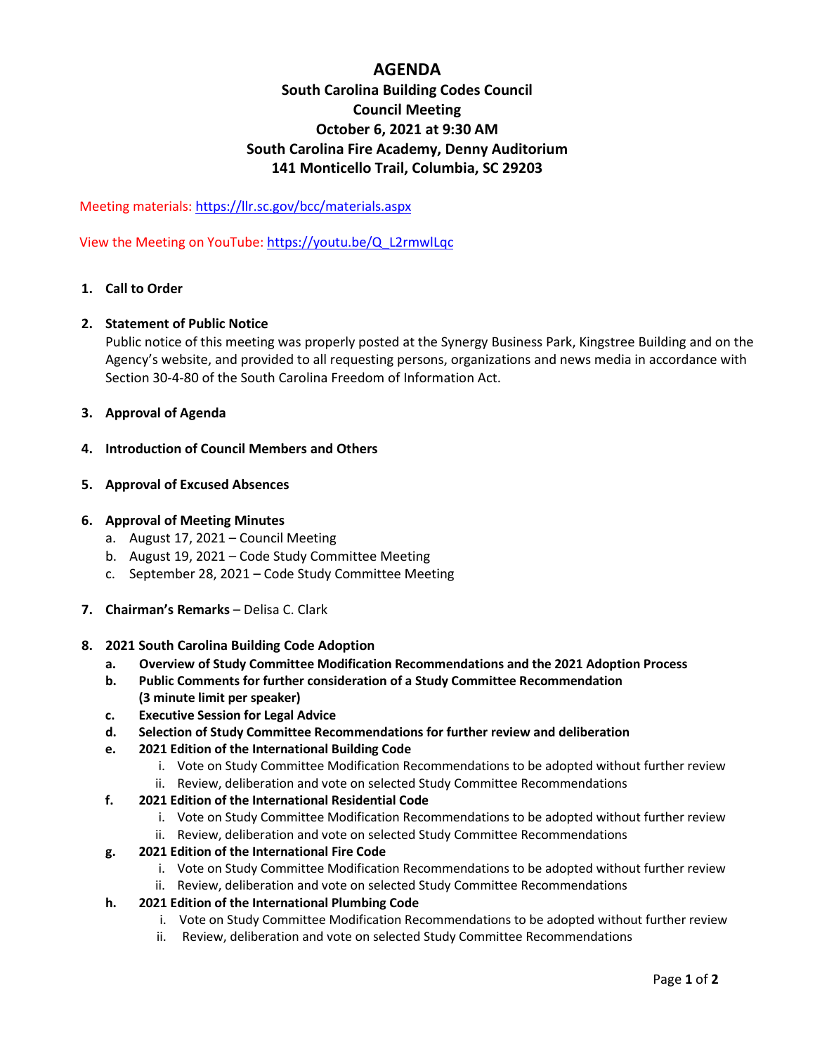## **AGENDA**

# **South Carolina Building Codes Council Council Meeting October 6, 2021 at 9:30 AM South Carolina Fire Academy, Denny Auditorium 141 Monticello Trail, Columbia, SC 29203**

Meeting materials:<https://llr.sc.gov/bcc/materials.aspx>

View the Meeting on YouTube[: https://youtu.be/Q\\_L2rmwlLqc](https://youtu.be/Q_L2rmwlLqc)

### **1. Call to Order**

### **2. Statement of Public Notice**

Public notice of this meeting was properly posted at the Synergy Business Park, Kingstree Building and on the Agency's website, and provided to all requesting persons, organizations and news media in accordance with Section 30-4-80 of the South Carolina Freedom of Information Act.

**3. Approval of Agenda**

#### **4. Introduction of Council Members and Others**

**5. Approval of Excused Absences**

### **6. Approval of Meeting Minutes**

- a. August 17, 2021 Council Meeting
- b. August 19, 2021 Code Study Committee Meeting
- c. September 28, 2021 Code Study Committee Meeting
- **7. Chairman's Remarks**  Delisa C. Clark
- **8. 2021 South Carolina Building Code Adoption** 
	- **a. Overview of Study Committee Modification Recommendations and the 2021 Adoption Process**
	- **b. Public Comments for further consideration of a Study Committee Recommendation (3 minute limit per speaker)**
	- **c. Executive Session for Legal Advice**
	- **d. Selection of Study Committee Recommendations for further review and deliberation**
	- **e. 2021 Edition of the International Building Code**
		- i. Vote on Study Committee Modification Recommendations to be adopted without further review
		- ii. Review, deliberation and vote on selected Study Committee Recommendations
	- **f. 2021 Edition of the International Residential Code**
		- i. Vote on Study Committee Modification Recommendations to be adopted without further review
		- ii. Review, deliberation and vote on selected Study Committee Recommendations
	- **g. 2021 Edition of the International Fire Code** 
		- i. Vote on Study Committee Modification Recommendations to be adopted without further review
		- ii. Review, deliberation and vote on selected Study Committee Recommendations
	- **h. 2021 Edition of the International Plumbing Code** 
		- i. Vote on Study Committee Modification Recommendations to be adopted without further review
		- ii. Review, deliberation and vote on selected Study Committee Recommendations